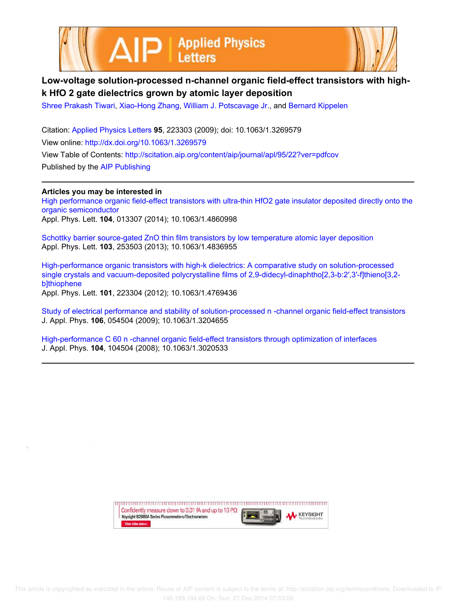



## **Low-voltage solution-processed n-channel organic field-effect transistors with highk HfO 2 gate dielectrics grown by atomic layer deposition**

Shree Prakash Tiwari, Xiao-Hong Zhang, William J. Potscavage Jr., and Bernard Kippelen

Citation: Applied Physics Letters **95**, 223303 (2009); doi: 10.1063/1.3269579 View online: http://dx.doi.org/10.1063/1.3269579 View Table of Contents: http://scitation.aip.org/content/aip/journal/apl/95/22?ver=pdfcov Published by the AIP Publishing

**Articles you may be interested in** High performance organic field-effect transistors with ultra-thin HfO2 gate insulator deposited directly onto the organic semiconductor Appl. Phys. Lett. **104**, 013307 (2014); 10.1063/1.4860998

Schottky barrier source-gated ZnO thin film transistors by low temperature atomic layer deposition Appl. Phys. Lett. **103**, 253503 (2013); 10.1063/1.4836955

High-performance organic transistors with high-k dielectrics: A comparative study on solution-processed single crystals and vacuum-deposited polycrystalline films of 2,9-didecyl-dinaphtho[2,3-b:2′,3′-f]thieno[3,2 b]thiophene Appl. Phys. Lett. **101**, 223304 (2012); 10.1063/1.4769436

Study of electrical performance and stability of solution-processed n -channel organic field-effect transistors J. Appl. Phys. **106**, 054504 (2009); 10.1063/1.3204655

High-performance C 60 n -channel organic field-effect transistors through optimization of interfaces J. Appl. Phys. **104**, 104504 (2008); 10.1063/1.3020533

> upun manan manan manan manan manan manan manan manan manan manan Confidently measure down to 0.01 fA and up to 10 P $\Omega$ **KEYSIGHT** Keysight B2980A Series Picoammeters/Electrometers View video demo>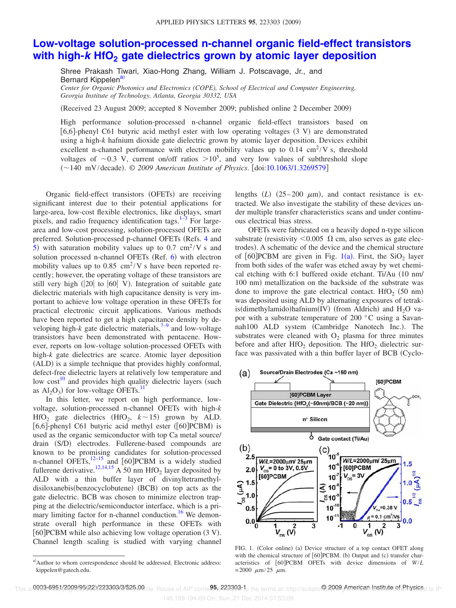## **Low-voltage solution-processed n-channel organic field-effect transistors with high-k HfO<sup>2</sup> gate dielectrics grown by atomic layer deposition**

Shree Prakash Tiwari, Xiao-Hong Zhang, William J. Potscavage, Jr., and Bernard Kippelen<sup>a)</sup> *Center for Organic Photonics and Electronics (COPE), School of Electrical and Computer Engineering,*

*Georgia Institute of Technology, Atlanta, Georgia 30332, USA*

Received 23 August 2009; accepted 8 November 2009; published online 2 December 2009-

High performance solution-processed n-channel organic field-effect transistors based on [6,6]-phenyl C61 butyric acid methyl ester with low operating voltages (3 V) are demonstrated using a high-*k* hafnium dioxide gate dielectric grown by atomic layer deposition. Devices exhibit excellent n-channel performance with electron mobility values up to  $0.14 \text{ cm}^2$ /V s, threshold voltages of  $\sim$ 0.3 V, current on/off ratios  $>$ 10<sup>5</sup>, and very low values of subthreshold slope (~140 mV/decade). © 2009 American Institute of Physics. [doi:10.1063/1.3269579]

Organic field-effect transistors (OFETs) are receiving significant interest due to their potential applications for large-area, low-cost flexible electronics, like displays, smart pixels, and radio frequency identification tags.<sup>1-3</sup> For largearea and low-cost processing, solution-processed OFETs are preferred. Solution-processed p-channel OFETs (Refs. 4 and 5) with saturation mobility values up to 0.7  $\text{cm}^2/\text{V}$  s and solution processed n-channel OFETs (Ref. 6) with electron mobility values up to  $0.85 \text{ cm}^2$ /V s have been reported recently; however, the operating voltage of these transistors are still very high  $(|20|$  to  $|60|$  V). Integration of suitable gate dielectric materials with high capacitance density is very important to achieve low voltage operation in these OFETs for practical electronic circuit applications. Various methods have been reported to get a high capacitance density by developing high- $k$  gate dielectric materials,<sup>7-9</sup> and low-voltage transistors have been demonstrated with pentacene. However, reports on low-voltage solution-processed OFETs with high-*k* gate dielectrics are scarce. Atomic layer deposition (ALD) is a simple technique that provides highly conformal, defect-free dielectric layers at relatively low temperature and low  $cost^{10}$  and provides high quality dielectric layers (such as  $Al_2O_3$ ) for low-voltage OFETs.<sup>11</sup>

In this letter, we report on high performance, lowvoltage, solution-processed n-channel OFETs with high-*k* HfO<sub>2</sub> gate dielectrics (HfO<sub>2</sub>,  $k \sim 15$ ) grown by ALD. [6,6]-phenyl C61 butyric acid methyl ester  $([60]PCBM)$  is used as the organic semiconductor with top Ca metal source/ drain (S/D) electrodes. Fullerene-based compounds are known to be promising candidates for solution-processed n-channel OFETs, $12-15$  and [60]PCBM is a widely studied fullerene derivative.<sup>12,14,15</sup> A 50 nm  $\text{HfO}_2$  layer deposited by ALD with a thin buffer layer of divinyltetramethyldisiloxanebis(benzocyclobutene) (BCB) on top acts as the gate dielectric. BCB was chosen to minimize electron trapping at the dielectric/semiconductor interface, which is a primary limiting factor for n-channel conduction.<sup>16</sup> We demonstrate overall high performance in these OFETs with [60]PCBM while also achieving low voltage operation (3 V). Channel length scaling is studied with varying channel

lengths  $(L)$  (25–200  $\mu$ m), and contact resistance is extracted. We also investigate the stability of these devices under multiple transfer characteristics scans and under continuous electrical bias stress.

OFETs were fabricated on a heavily doped n-type silicon substrate (resistivity  $\leq 0.005$   $\Omega$  cm, also serves as gate electrodes). A schematic of the device and the chemical structure of  $[60]$ PCBM are given in Fig. 1(a). First, the SiO<sub>2</sub> layer from both sides of the wafer was etched away by wet chemical etching with 6:1 buffered oxide etchant. Ti/Au (10 nm/ 100 nm) metallization on the backside of the substrate was done to improve the gate electrical contact.  $HfO<sub>2</sub>$  (50 nm) was deposited using ALD by alternating exposures of tetrakis(dimethylamido)hafnium(IV) (from Aldrich) and  $H_2O$  vapor with a substrate temperature of 200 °C using a Savannah100 ALD system (Cambridge Nanotech Inc.). The substrates were cleaned with  $O<sub>2</sub>$  plasma for three minutes before and after  $HfO<sub>2</sub>$  deposition. The  $HfO<sub>2</sub>$  dielectric surface was passivated with a thin buffer layer of BCB (Cyclo-



FIG. 1. (Color online) (a) Device structure of a top contact OFET along with the chemical structure of [60]PCBM. (b) Output and (c) transfer characteristics of 60PCBM OFETs with device dimensions of *W*/*L*  $= 2000 \mu m/25 \mu m$ .

a) Author to whom correspondence should be addressed. Electronic address: kippelen@gatech.edu.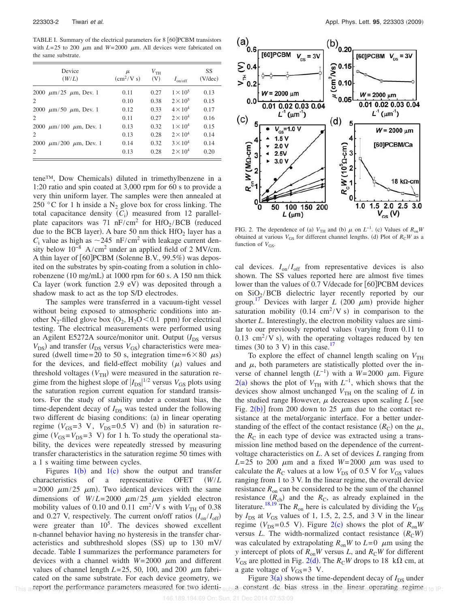TABLE I. Summary of the electrical parameters for 8 [60] PCBM transistors with  $L=25$  to 200  $\mu$ m and  $W=2000 \mu$ m. All devices were fabricated on the same substrate.

| Device<br>(W/L)                  | $\mu$<br>(cm <sup>2</sup> /V s) | $V_{\text{TH}}$<br>(V) | $I_{\text{on/off}}$ | SS<br>$(V/\text{dec})$ |
|----------------------------------|---------------------------------|------------------------|---------------------|------------------------|
| 2000 $\mu$ m/25 $\mu$ m, Dev. 1  | 0.11                            | 0.27                   | $1 \times 10^5$     | 0.13                   |
| $\mathfrak{D}_{\mathfrak{p}}$    | 0.10                            | 0.38                   | $2 \times 10^5$     | 0.15                   |
| 2000 $\mu$ m/50 $\mu$ m, Dev. 1  | 0.12                            | 0.33                   | $4 \times 10^4$     | 0.17                   |
| $\mathfrak{D}$                   | 0.11                            | 0.27                   | $2 \times 10^4$     | 0.16                   |
| 2000 $\mu$ m/100 $\mu$ m, Dev. 1 | 0.13                            | 0.32                   | $1 \times 10^4$     | 0.15                   |
| 2                                | 0.13                            | 0.28                   | $2\times10^4$       | 0.14                   |
| 2000 $\mu$ m/200 $\mu$ m, Dev. 1 | 0.14                            | 0.32                   | $3 \times 10^4$     | 0.14                   |
| $\mathfrak{D}$                   | 0.13                            | 0.28                   | $2 \times 10^4$     | 0.20                   |

tene™, Dow Chemicals) diluted in trimethylbenzene in a 1:20 ratio and spin coated at 3,000 rpm for 60 s to provide a very thin uniform layer. The samples were then annealed at 250 °C for 1 h inside a  $N_2$  glove box for cross linking. The total capacitance density  $(C_i)$  measured from 12 parallelplate capacitors was 71  $nF/cm^2$  for HfO<sub>2</sub>/BCB (reduced due to the BCB layer). A bare 50 nm thick  $HfO<sub>2</sub>$  layer has a  $C_i$  value as high as  $\sim$  245 nF/cm<sup>2</sup> with leakage current density below  $10^{-8}$  A/cm<sup>2</sup> under an applied field of 2 MV/cm. A thin layer of [60]PCBM (Solenne B.V., 99.5%) was deposited on the substrates by spin-coating from a solution in chlorobenzene (10 mg/mL) at 1000 rpm for 60 s. A 150 nm thick Ca layer (work function 2.9 eV) was deposited through a shadow mask to act as the top S/D electrodes.

The samples were transferred in a vacuum-tight vessel without being exposed to atmospheric conditions into another  $N_2$ -filled glove box  $(O_2, H_2O<0.1$  ppm) for electrical testing. The electrical measurements were performed using an Agilent E5272A source/monitor unit. Output  $(I_{DS}$  versus  $V_{DS}$ ) and transfer ( $I_{DS}$  versus  $V_{GS}$ ) characteristics were measured (dwell time=20 to 50 s, integration time= $6 \times 80$   $\mu$ s) for the devices, and field-effect mobility  $(\mu)$  values and threshold voltages  $(V<sub>TH</sub>)$  were measured in the saturation regime from the highest slope of  $|I_{DS}|^{1/2}$  versus  $V_{GS}$  plots using the saturation region current equation for standard transistors. For the study of stability under a constant bias, the time-dependent decay of  $I_{DS}$  was tested under the following two different dc biasing conditions: (a) in linear operating regime  $(V_{GS} = 3 \text{ V}, V_{DS} = 0.5 \text{ V})$  and (b) in saturation regime  $(V_{GS} = V_{DS} = 3 \text{ V})$  for 1 h. To study the operational stability, the devices were repeatedly stressed by measuring transfer characteristics in the saturation regime 50 times with a 1 s waiting time between cycles.

Figures  $1(b)$  and  $1(c)$  show the output and transfer characteristics of a representative OFET *W*/*L*  $=$  2000  $\mu$ m/25  $\mu$ m). Two identical devices with the same dimensions of  $W/L = 2000 \ \mu m/25 \ \mu m$  yielded electron mobility values of 0.10 and 0.11  $\text{ cm}^2/\text{V}$  s with  $V_{\text{TH}}$  of 0.38 and 0.27 V, respectively. The current on/off ratios  $I_{on}/I_{off}$ were greater than  $10^5$ . The devices showed excellent n-channel behavior having no hysteresis in the transfer characteristics and subthreshold slopes  $(SS)$  up to 130 mV/ decade. Table I summarizes the performance parameters for devices with a channel width  $W=2000 \mu m$  and different values of channel length  $L=25$ , 50, 100, and 200  $\mu$ m fabricated on the same substrate. For each device geometry, we report the performance parameters measured for two identi-



FIG. 2. The dependence of (a)  $V_{TH}$  and (b)  $\mu$  on  $L^{-1}$ . (c) Values of  $R_{on}W$ obtained at various  $V_{GS}$  for different channel lengths. (d) Plot of  $R_{\rm C}W$  as a function of  $V_{GS}$ .

cal devices.  $I_{on}/I_{off}$  from representative devices is also shown. The SS values reported here are almost five times lower than the values of 0.7 V/decade for [60] PCBM devices on  $\text{SiQ}_2/\text{BCB}$  dielectric layer recently reported by our group.<sup>17</sup> Devices with larger *L* (200  $\mu$ m) provide higher saturation mobility  $(0.14 \text{ cm}^2/V \text{ s})$  in comparison to the shorter *L*. Interestingly, the electron mobility values are similar to our previously reported values (varying from 0.11 to 0.13 cm<sup>2</sup>/V s), with the operating voltages reduced by ten times (30 to 3 V) in this case.<sup>17</sup>

To explore the effect of channel length scaling on  $V_{TH}$ and  $\mu$ , both parameters are statistically plotted over the inverse of channel length  $(L^{-1})$  with a  $W=2000 \mu m$ . Figure  $2(a)$  shows the plot of  $V_{TH}$  with  $L^{-1}$ , which shows that the devices show almost unchanged  $V_{TH}$  on the scaling of  $L$  in the studied range However,  $\mu$  decreases upon scaling  $L$  [see Fig.  $2(b)$  from 200 down to 25  $\mu$ m due to the contact resistance at the metal/organic interface. For a better understanding of the effect of the contact resistance  $(R_C)$  on the  $\mu$ , the  $R_C$  in each type of device was extracted using a transmission line method based on the dependence of the currentvoltage characteristics on *L*. A set of devices *L* ranging from  $L=25$  to 200  $\mu$ m and a fixed  $W=2000 \mu$ m was used to calculate the  $R_C$  values at a low  $V_{DS}$  of 0.5 V for  $V_{GS}$  values ranging from 1 to 3 V. In the linear regime, the overall device resistance  $R_{on}$  can be considered to be the sum of the channel resistance  $(R_{ch})$  and the  $R_{C}$ , as already explained in the literature.<sup>18,19</sup> The  $R_{on}$  here is calculated by dividing the  $V_{DS}$ by  $I_{DS}$  at  $V_{GS}$  values of 1, 1.5, 2, 2.5, and 3 V in the linear regime ( $V_{DS}$ =0.5 V). Figure 2(c) shows the plot of  $R_{on}W$ versus *L*. The width-normalized contact resistance  $(R<sub>C</sub>W)$ was calculated by extrapolating  $R_{on}W$  to  $L=0$   $\mu$ m using the *y* intercept of plots of  $R_{on}W$  versus *L*, and  $R_{\rm C}W$  for different  $V_{GS}$  are plotted in Fig. 2(d). The  $R_{\rm C}$ *W* drops to 18 k $\Omega$  cm, at a gate voltage of  $V_{GS} = 3$  V.

Figure  $3(a)$  shows the time-dependent decay of  $I_{DS}$  under This arteport dbe, performance parameters measured for two identis subject constant det bias. stress in jthe linear operating regimed to IP: